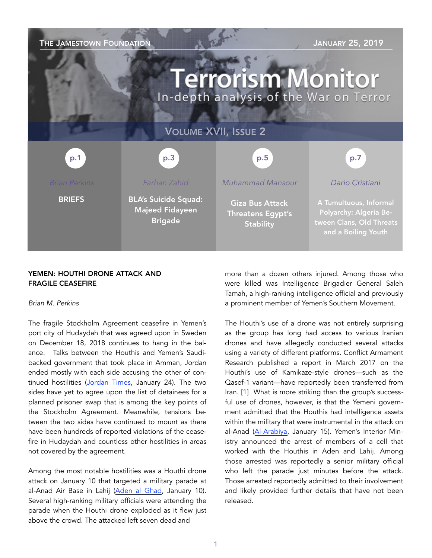

## YEMEN: HOUTHI DRONE ATTACK AND FRAGILE CEASEFIRE

### *Brian M. Perkins*

The fragile Stockholm Agreement ceasefire in Yemen's port city of Hudaydah that was agreed upon in Sweden on December 18, 2018 continues to hang in the balance. Talks between the Houthis and Yemen's Saudibacked government that took place in Amman, Jordan ended mostly with each side accusing the other of continued hostilities [\(Jordan Times](http://www.jordantimes.com/news/region/yemen-govt-accuses-rebels-violating-ho), January 24). The two sides have yet to agree upon the list of detainees for a planned prisoner swap that is among the key points of the Stockholm Agreement. Meanwhile, tensions between the two sides have continued to mount as there have been hundreds of reported violations of the ceasefire in Hudaydah and countless other hostilities in areas not covered by the agreement.

Among the most notable hostilities was a Houthi drone attack on January 10 that targeted a military parade at al-Anad Air Base in Lahij ([Aden al Ghad](http://m.adengad.net/news/359480/), January 10). Several high-ranking military officials were attending the parade when the Houthi drone exploded as it flew just above the crowd. The attacked left seven dead and

more than a dozen others injured. Among those who were killed was Intelligence Brigadier General Saleh Tamah, a high-ranking intelligence official and previously a prominent member of Yemen's Southern Movement.

The Houthi's use of a drone was not entirely surprising as the group has long had access to various Iranian drones and have allegedly conducted several attacks using a variety of different platforms. Conflict Armament Research published a report in March 2017 on the Houthi's use of Kamikaze-style drones—such as the Qasef-1 variant—have reportedly been transferred from Iran. [1] What is more striking than the group's successful use of drones, however, is that the Yemeni government admitted that the Houthis had intelligence assets within the military that were instrumental in the attack on al-Anad ([Al-Arabiya,](https://english.alarabiya.net/en/News/gulf/2019/01/15/Yemeni-interior-ministry-Houthi-cell-involved-in-al-Anad-airbase-attack-caught.html) January 15). Yemen's Interior Ministry announced the arrest of members of a cell that worked with the Houthis in Aden and Lahij. Among those arrested was reportedly a senior military official who left the parade just minutes before the attack. Those arrested reportedly admitted to their involvement and likely provided further details that have not been released.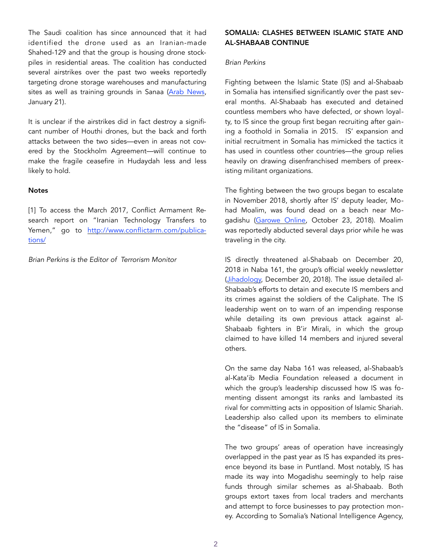The Saudi coalition has since announced that it had identified the drone used as an Iranian-made Shahed-129 and that the group is housing drone stockpiles in residential areas. The coalition has conducted several airstrikes over the past two weeks reportedly targeting drone storage warehouses and manufacturing sites as well as training grounds in Sanaa [\(Arab News,](http://www.arabnews.com/node/1438701/middle-east) January 21).

It is unclear if the airstrikes did in fact destroy a significant number of Houthi drones, but the back and forth attacks between the two sides—even in areas not covered by the Stockholm Agreement—will continue to make the fragile ceasefire in Hudaydah less and less likely to hold.

#### **Notes**

[1] To access the March 2017, Conflict Armament Research report on "Iranian Technology Transfers to Yemen," go to http://www.conflictarm.com/publications/

*Brian Perkins is the Editor of Terrorism Monitor* 

## SOMALIA: CLASHES BETWEEN ISLAMIC STATE AND AL-SHABAAB CONTINUE

## *Brian Perkins*

Fighting between the Islamic State (IS) and al-Shabaab in Somalia has intensified significantly over the past several months. Al-Shabaab has executed and detained countless members who have defected, or shown loyalty, to IS since the group first began recruiting after gaining a foothold in Somalia in 2015. IS' expansion and initial recruitment in Somalia has mimicked the tactics it has used in countless other countries—the group relies heavily on drawing disenfranchised members of preexisting militant organizations.

The fighting between the two groups began to escalate in November 2018, shortly after IS' deputy leader, Mohad Moalim, was found dead on a beach near Mogadishu ([Garowe Online](https://www.garoweonline.com/en/news/somalia/somalia-isil-affiliate-dep), October 23, 2018). Moalim was reportedly abducted several days prior while he was traveling in the city.

IS directly threatened al-Shabaab on December 20, 2018 in Naba 161, the group's official weekly newsletter ([Jihadology,](https://azelin.files.wordpress.com/2018/12/The-Islamic-State-al-Naba%CC%84_-Newsletter-161.pdf) December 20, 2018). The issue detailed al-Shabaab's efforts to detain and execute IS members and its crimes against the soldiers of the Caliphate. The IS leadership went on to warn of an impending response while detailing its own previous attack against al-Shabaab fighters in B'ir Mirali, in which the group claimed to have killed 14 members and injured several others.

On the same day Naba 161 was released, al-Shabaab's al-Kata'ib Media Foundation released a document in which the group's leadership discussed how IS was fomenting dissent amongst its ranks and lambasted its rival for committing acts in opposition of Islamic Shariah. Leadership also called upon its members to eliminate the "disease" of IS in Somalia.

The two groups' areas of operation have increasingly overlapped in the past year as IS has expanded its presence beyond its base in Puntland. Most notably, IS has made its way into Mogadishu seemingly to help raise funds through similar schemes as al-Shabaab. Both groups extort taxes from local traders and merchants and attempt to force businesses to pay protection money. According to Somalia's National Intelligence Agency,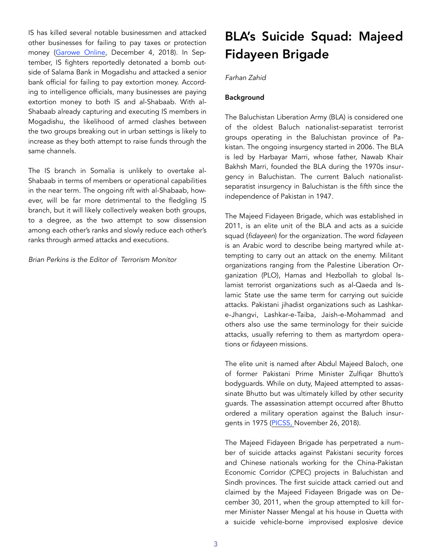IS has killed several notable businessmen and attacked other businesses for failing to pay taxes or protection money ([Garowe Online](https://www.garoweonline.com/en/news/somalia/al-shabab-isil-engage-in-an-economic-war), December 4, 2018). In September, IS fighters reportedly detonated a bomb outside of Salama Bank in Mogadishu and attacked a senior bank official for failing to pay extortion money. According to intelligence officials, many businesses are paying extortion money to both IS and al-Shabaab. With al-Shabaab already capturing and executing IS members in Mogadishu, the likelihood of armed clashes between the two groups breaking out in urban settings is likely to increase as they both attempt to raise funds through the same channels.

The IS branch in Somalia is unlikely to overtake al-Shabaab in terms of members or operational capabilities in the near term. The ongoing rift with al-Shabaab, however, will be far more detrimental to the fledgling IS branch, but it will likely collectively weaken both groups, to a degree, as the two attempt to sow dissension among each other's ranks and slowly reduce each other's ranks through armed attacks and executions.

*Brian Perkins is the Editor of Terrorism Monitor* 

# BLA's Suicide Squad: Majeed Fidayeen Brigade

## *Farhan Zahid*

# Background

The Baluchistan Liberation Army (BLA) is considered one of the oldest Baluch nationalist-separatist terrorist groups operating in the Baluchistan province of Pakistan. The ongoing insurgency started in 2006. The BLA is led by Harbayar Marri, whose father, Nawab Khair Bakhsh Marri, founded the BLA during the 1970s insurgency in Baluchistan. The current Baluch nationalistseparatist insurgency in Baluchistan is the fifth since the independence of Pakistan in 1947.

The Majeed Fidayeen Brigade, which was established in 2011, is an elite unit of the BLA and acts as a suicide squad (*fidayeen*) for the organization. The word *fidayeen* is an Arabic word to describe being martyred while attempting to carry out an attack on the enemy. Militant organizations ranging from the Palestine Liberation Organization (PLO), Hamas and Hezbollah to global Islamist terrorist organizations such as al-Qaeda and Islamic State use the same term for carrying out suicide attacks. Pakistani jihadist organizations such as Lashkare-Jhangvi, Lashkar-e-Taiba, Jaish-e-Mohammad and others also use the same terminology for their suicide attacks, usually referring to them as martyrdom operations or *fidayeen* missions.

The elite unit is named after Abdul Majeed Baloch, one of former Pakistani Prime Minister Zulfiqar Bhutto's bodyguards. While on duty, Majeed attempted to assassinate Bhutto but was ultimately killed by other security guards. The assassination attempt occurred after Bhutto ordered a military operation against the Baluch insurgents in 1975 ([PICSS,](https://www.picss.net/fidayeen-majeed-brigade-the-elite-unit-of-bla/) November 26, 2018).

The Majeed Fidayeen Brigade has perpetrated a number of suicide attacks against Pakistani security forces and Chinese nationals working for the China-Pakistan Economic Corridor (CPEC) projects in Baluchistan and Sindh provinces. The first suicide attack carried out and claimed by the Majeed Fidayeen Brigade was on December 30, 2011, when the group attempted to kill former Minister Nasser Mengal at his house in Quetta with a suicide vehicle-borne improvised explosive device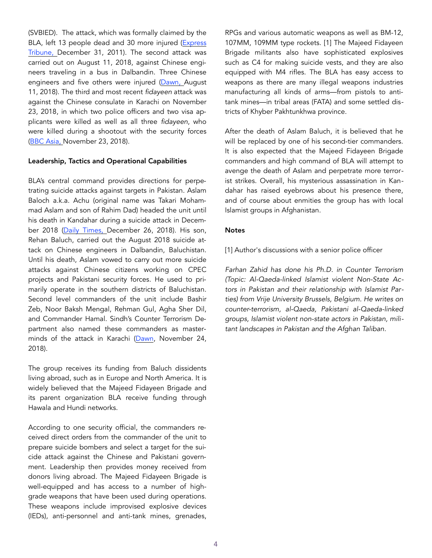(SVBIED). The attack, which was formally claimed by the BLA, left 13 people dead and 30 more injured (Express [Tribune,](https://t) December 31, 2011). The second attack was carried out on August 11, 2018, against Chinese engineers traveling in a bus in Dalbandin. Three Chinese engineers and five others were injured [\(Dawn](https://www.dawn.com/news/1426367), August 11, 2018). The third and most recent *fidayeen* attack was against the Chinese consulate in Karachi on November 23, 2018, in which two police officers and two visa applicants were killed as well as all three *fidayeen*, who were killed during a shootout with the security forces ([BBC Asia,](https://www.bbc.com/news/world-asia-46313136) November 23, 2018).

### Leadership, Tactics and Operational Capabilities

BLA's central command provides directions for perpetrating suicide attacks against targets in Pakistan. Aslam Baloch a.k.a. Achu (original name was Takari Mohammad Aslam and son of Rahim Dad) headed the unit until his death in Kandahar during a suicide attack in Decem-ber 2018 ([Daily Times,](https://dailytimes.com.pk/337423/chinese-consulate-attack-mastermind-killed-in-afghanistan/) December 26, 2018). His son, Rehan Baluch, carried out the August 2018 suicide attack on Chinese engineers in Dalbandin, Baluchistan. Until his death, Aslam vowed to carry out more suicide attacks against Chinese citizens working on CPEC projects and Pakistani security forces. He used to primarily operate in the southern districts of Baluchistan. Second level commanders of the unit include Bashir Zeb, Noor Baksh Mengal, Rehman Gul, Agha Sher Dil, and Commander Hamal. Sindh's Counter Terrorism Department also named these commanders as master-minds of the attack in Karachi [\(Dawn,](https://www.dawn.com/news/1447419) November 24, 2018).

The group receives its funding from Baluch dissidents living abroad, such as in Europe and North America. It is widely believed that the Majeed Fidayeen Brigade and its parent organization BLA receive funding through Hawala and Hundi networks.

According to one security official, the commanders received direct orders from the commander of the unit to prepare suicide bombers and select a target for the suicide attack against the Chinese and Pakistani government. Leadership then provides money received from donors living abroad. The Majeed Fidayeen Brigade is well-equipped and has access to a number of highgrade weapons that have been used during operations. These weapons include improvised explosive devices (IEDs), anti-personnel and anti-tank mines, grenades, RPGs and various automatic weapons as well as BM-12, 107MM, 109MM type rockets. [1] The Majeed Fidayeen Brigade militants also have sophisticated explosives such as C4 for making suicide vests, and they are also equipped with M4 rifles. The BLA has easy access to weapons as there are many illegal weapons industries manufacturing all kinds of arms—from pistols to antitank mines—in tribal areas (FATA) and some settled districts of Khyber Pakhtunkhwa province.

After the death of Aslam Baluch, it is believed that he will be replaced by one of his second-tier commanders. It is also expected that the Majeed Fidayeen Brigade commanders and high command of BLA will attempt to avenge the death of Aslam and perpetrate more terrorist strikes. Overall, his mysterious assassination in Kandahar has raised eyebrows about his presence there, and of course about enmities the group has with local Islamist groups in Afghanistan.

### **Notes**

[1] Author's discussions with a senior police officer

*Farhan Zahid has done his Ph.D. in Counter Terrorism (Topic: Al-Qaeda-linked Islamist violent Non-State Actors in Pakistan and their relationship with Islamist Parties) from Vrije University Brussels, Belgium. He writes on counter-terrorism, al-Qaeda, Pakistani al-Qaeda-linked groups, Islamist violent non-state actors in Pakistan, militant landscapes in Pakistan and the Afghan Taliban.*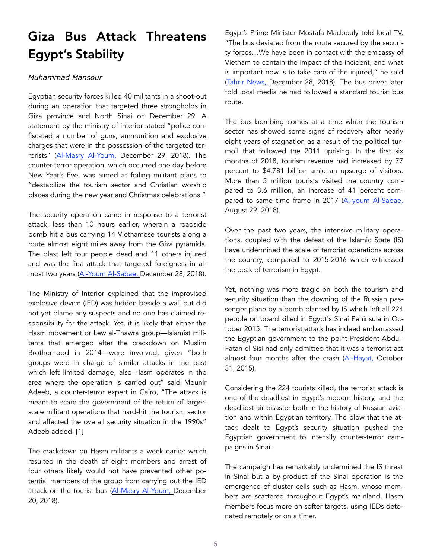# Giza Bus Attack Threatens Egypt's Stability

# *Muhammad Mansour*

Egyptian security forces killed 40 militants in a shoot-out during an operation that targeted three strongholds in Giza province and North Sinai on December 29. A statement by the ministry of interior stated "police confiscated a number of guns, ammunition and explosive charges that were in the possession of the targeted terrorists" (Al-Masry Al-Youm, December 29, 2018). The counter-terror operation, which occurred one day before New Year's Eve, was aimed at foiling militant plans to "destabilize the tourism sector and Christian worship places during the new year and Christmas celebrations."

The security operation came in response to a terrorist attack, less than 10 hours earlier, wherein a roadside bomb hit a bus carrying 14 Vietnamese tourists along a route almost eight miles away from the Giza pyramids. The blast left four people dead and 11 others injured and was the first attack that targeted foreigners in almost two years ([Al-Youm Al-Sabae, D](https://www.youm7.com/story/2018/12/28/%25D8%25A7%25D9%2584%25D9%2586%25D8%25A7%25)ecember 28, 2018).

The Ministry of Interior explained that the improvised explosive device (IED) was hidden beside a wall but did not yet blame any suspects and no one has claimed responsibility for the attack. Yet, it is likely that either the Hasm movement or Lew al-Thawra group—Islamist militants that emerged after the crackdown on Muslim Brotherhood in 2014—were involved, given "both groups were in charge of similar attacks in the past which left limited damage, also Hasm operates in the area where the operation is carried out" said Mounir Adeeb, a counter-terror expert in Cairo, "The attack is meant to scare the government of the return of largerscale militant operations that hard-hit the tourism sector and affected the overall security situation in the 1990s" Adeeb added. [1]

The crackdown on Hasm militants a week earlier which resulted in the death of eight members and arrest of four others likely would not have prevented other potential members of the group from carrying out the IED attack on the tourist bus ([Al-Masry Al-Youm,](https://www.almasryalyoum.com/news/details/1352857) December 20, 2018).

Egypt's Prime Minister Mostafa Madbouly told local TV, "The bus deviated from the route secured by the security forces…We have been in contact with the embassy of Vietnam to contain the impact of the incident, and what is important now is to take care of the injured," he said ([Tahrir News,](https://www.tahrirnews.com/Story/1214242/%D9) December 28, 2018). The bus driver later told local media he had followed a standard tourist bus route.

The bus bombing comes at a time when the tourism sector has showed some signs of recovery after nearly eight years of stagnation as a result of the political turmoil that followed the 2011 uprising. In the first six months of 2018, tourism revenue had increased by 77 percent to \$4.781 billion amid an upsurge of visitors. More than 5 million tourists visited the country compared to 3.6 million, an increase of 41 percent compared to same time frame in 2017 ([Al-youm Al-Sabae,](https://www.youm7.com/story/2018/8/29/%D8%A5%D9%8A%D8%B1%D8%A7%D8%AF%D8%A7%D8%AA-%D9%85%D8%B5%D8%B1-%D9%85%D9%86-%D8%A7%D9%84%D8%B3%D9%8A%D8%A7)  August 29, 2018).

Over the past two years, the intensive military operations, coupled with the defeat of the Islamic State (IS) have undermined the scale of terrorist operations across the country, compared to 2015-2016 which witnessed the peak of terrorism in Egypt.

Yet, nothing was more tragic on both the tourism and security situation than the downing of the Russian passenger plane by a bomb planted by IS which left all 224 people on board killed in Egypt's Sinai Peninsula in October 2015. The terrorist attack has indeed embarrassed the Egyptian government to the point President Abdul-Fatah el-Sisi had only admitted that it was a terrorist act almost four months after the crash ([Al-Hayat,](http://www.alhayat.com/article/704174/-%25D8%25AF%25D8%25A7%25D8%25B9%25D8%25B4-%25D9%258A%25D8%25B9%25D9%2584%25D9%2586-%25D9%2585%25D8%25B3%25D8%25A4%25D9%2588%25D9%2584%25D9%258A%25D8%25AA%25D9%2587-%25D) October 31, 2015).

Considering the 224 tourists killed, the terrorist attack is one of the deadliest in Egypt's modern history, and the deadliest air disaster both in the history of Russian aviation and within Egyptian territory. The blow that the attack dealt to Egypt's security situation pushed the Egyptian government to intensify counter-terror campaigns in Sinai.

The campaign has remarkably undermined the IS threat in Sinai but a by-product of the Sinai operation is the emergence of cluster cells such as Hasm, whose members are scattered throughout Egypt's mainland. Hasm members focus more on softer targets, using IEDs detonated remotely or on a timer.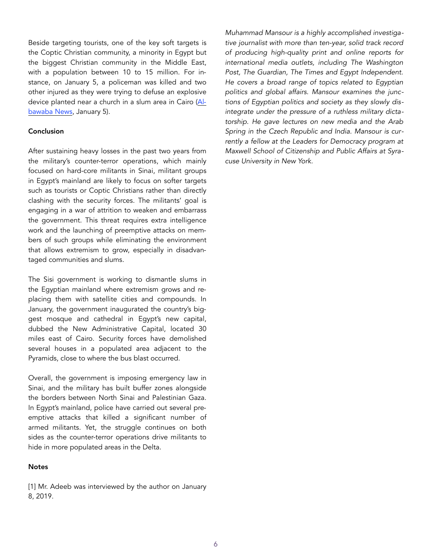Beside targeting tourists, one of the key soft targets is the Coptic Christian community, a minority in Egypt but the biggest Christian community in the Middle East, with a population between 10 to 15 million. For instance, on January 5, a policeman was killed and two other injured as they were trying to defuse an explosive device planted near a church in a slum area in Cairo [\(Al](https://www.albawabhnews.com/3437819)[bawaba News,](https://www.albawabhnews.com/3437819) January 5).

### **Conclusion**

After sustaining heavy losses in the past two years from the military's counter-terror operations, which mainly focused on hard-core militants in Sinai, militant groups in Egypt's mainland are likely to focus on softer targets such as tourists or Coptic Christians rather than directly clashing with the security forces. The militants' goal is engaging in a war of attrition to weaken and embarrass the government. This threat requires extra intelligence work and the launching of preemptive attacks on members of such groups while eliminating the environment that allows extremism to grow, especially in disadvantaged communities and slums.

The Sisi government is working to dismantle slums in the Egyptian mainland where extremism grows and replacing them with satellite cities and compounds. In January, the government inaugurated the country's biggest mosque and cathedral in Egypt's new capital, dubbed the New Administrative Capital, located 30 miles east of Cairo. Security forces have demolished several houses in a populated area adjacent to the Pyramids, close to where the bus blast occurred.

Overall, the government is imposing emergency law in Sinai, and the military has built buffer zones alongside the borders between North Sinai and Palestinian Gaza. In Egypt's mainland, police have carried out several preemptive attacks that killed a significant number of armed militants. Yet, the struggle continues on both sides as the counter-terror operations drive militants to hide in more populated areas in the Delta.

#### **Notes**

[1] Mr. Adeeb was interviewed by the author on January 8, 2019.

*Muhammad Mansour is a highly accomplished investigative journalist with more than ten-year, solid track record of producing high-quality print and online reports for international media outlets, including The Washington*  Post, The Guardian, The Times and Egypt Independent. *He covers a broad range of topics related to Egyptian politics and global affairs. Mansour examines the junctions of Egyptian politics and society as they slowly disintegrate under the pressure of a ruthless military dictatorship. He gave lectures on new media and the Arab Spring in the Czech Republic and India. Mansour is currently a fellow at the Leaders for Democracy program at Maxwell School of Citizenship and Public Affairs at Syracuse University in New York.*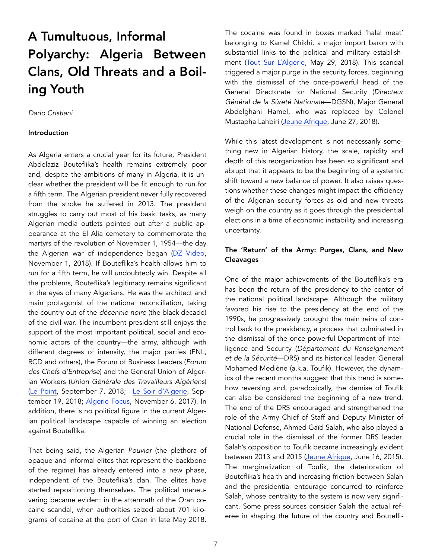# A Tumultuous, Informal Polyarchy: Algeria Between Clans, Old Threats and a Boiling Youth

# *Dario Cristiani*

#### Introduction

As Algeria enters a crucial year for its future, President Abdelaziz Bouteflika's health remains extremely poor and, despite the ambitions of many in Algeria, it is unclear whether the president will be fit enough to run for a fifth term. The Algerian president never fully recovered from the stroke he suffered in 2013. The president struggles to carry out most of his basic tasks, as many Algerian media outlets pointed out after a public appearance at the El Alia cemetery to commemorate the martyrs of the revolution of November 1, 1954—the day the Algerian war of independence began [\(DZ Video,](https://www.dzvid.com/2018/11/01/les-images-troublantes-du-president-bouteflika-a-el-alia/) November 1, 2018). If Bouteflika's health allows him to run for a fifth term, he will undoubtedly win. Despite all the problems, Bouteflika's legitimacy remains significant in the eyes of many Algerians. He was the architect and main protagonist of the national reconciliation, taking the country out of the *décennie noire* (the black decade) of the civil war. The incumbent president still enjoys the support of the most important political, social and economic actors of the country—the army, although with different degrees of intensity, the major parties (FNL, RCD and others), the Forum of Business Leaders (*Forum des Chefs d'Entreprise*) and the General Union of Algerian Workers (*Union Générale des Travailleurs Algériens*) ([Le Point](http://afrique.lepoint.fr/actualites/algerie-les-patrons-derriere-bouteflika-pour-un-cinquieme-mandat-07-09-2018-2249401_2365.php), September 7, 2018; [Le Soir d'Algerie](https://www.lesoirdalgerie.com/actualites/lugta-et-le-fln-appellent-a-un-cinquieme-mandat-11418), September 19, 2018; [Algerie Focus,](https://www.algerie-focus.com/2017/11/presidentielle-2019-rcd-nest-oppose-a-candida) November 6, 2017). In addition, there is no political figure in the current Algerian political landscape capable of winning an election against Bouteflika.

That being said, the Algerian *Pouvior* (the plethora of opaque and informal elites that represent the backbone of the regime) has already entered into a new phase, independent of the Bouteflika's clan. The elites have started repositioning themselves. The political maneuvering became evident in the aftermath of the Oran cocaine scandal, when authorities seized about 701 kilograms of cocaine at the port of Oran in late May 2018. The cocaine was found in boxes marked 'halal meat' belonging to Kamel Chikhi, a major import baron with substantial links to the political and military establishment ([Tout Sur L'Algerie](https://www.tsa-algerie.com/plus-de-700-kg-de-cocaine-saisis-sur-un-bateau-au-port-doran/), May 29, 2018). This scandal triggered a major purge in the security forces, beginning with the dismissal of the once-powerful head of the General Directorate for National Security (*Directeur Général de la Sûreté Nationale*—DGSN), Major General Abdelghani Hamel, who was replaced by Colonel Mustapha Lahbiri ([Jeune Afrique,](https://www.jeuneafrique.c) June 27, 2018).

While this latest development is not necessarily something new in Algerian history, the scale, rapidity and depth of this reorganization has been so significant and abrupt that it appears to be the beginning of a systemic shift toward a new balance of power. It also raises questions whether these changes might impact the efficiency of the Algerian security forces as old and new threats weigh on the country as it goes through the presidential elections in a time of economic instability and increasing uncertainty.

## The 'Return' of the Army: Purges, Clans, and New Cleavages

One of the major achievements of the Bouteflika's era has been the return of the presidency to the center of the national political landscape. Although the military favored his rise to the presidency at the end of the 1990s, he progressively brought the main reins of control back to the presidency, a process that culminated in the dismissal of the once powerful Department of Intelligence and Security (*Département du Renseignement et de la Sécurité*—DRS) and its historical leader, General Mohamed Mediène (a.k.a. Toufik). However, the dynamics of the recent months suggest that this trend is somehow reversing and, paradoxically, the demise of Toufik can also be considered the beginning of a new trend. The end of the DRS encouraged and strengthened the role of the Army Chief of Staff and Deputy Minister of National Defense, Ahmed Gaïd Salah, who also played a crucial role in the dismissal of the former DRS leader. Salah's opposition to Toufik became increasingly evident between 2013 and 2015 ([Jeune Afrique,](https://www.jeuneafrique.com/mag/235779/politi) June 16, 2015). The marginalization of Toufik, the deterioration of Bouteflika's health and increasing friction between Salah and the presidential entourage concurred to reinforce Salah, whose centrality to the system is now very significant. Some press sources consider Salah the actual referee in shaping the future of the country and Boutefli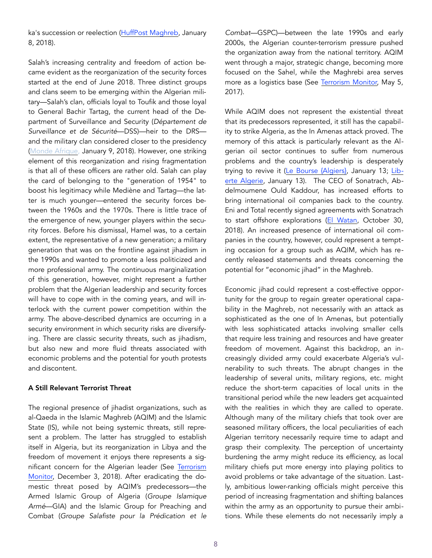ka's succession or reelection ([HuffPost Maghreb,](https://www.tsa-algerie.com/dernier) January 8, 2018).

Salah's increasing centrality and freedom of action became evident as the reorganization of the security forces started at the end of June 2018. Three distinct groups and clans seem to be emerging within the Algerian military—Salah's clan, officials loyal to Toufik and those loyal to General Bachir Tartag, the current head of the Department of Surveillance and Security (*Département de Surveillance et de Sécurité*—DSS)—heir to the DRS and the military clan considered closer to the presidency ([Monde Afrique](https://mondafrique.com/algerie-gaid-salah-maitre-du-jeu-par-defaut/), January 9, 2018). However, one striking element of this reorganization and rising fragmentation is that all of these officers are rather old. Salah can play the card of belonging to the "generation of 1954" to boost his legitimacy while Mediène and Tartag—the latter is much younger—entered the security forces between the 1960s and the 1970s. There is little trace of the emergence of new, younger players within the security forces. Before his dismissal, Hamel was, to a certain extent, the representative of a new generation; a military generation that was on the frontline against jihadism in the 1990s and wanted to promote a less politicized and more professional army. The continuous marginalization of this generation, however, might represent a further problem that the Algerian leadership and security forces will have to cope with in the coming years, and will interlock with the current power competition within the army. The above-described dynamics are occurring in a security environment in which security risks are diversifying. There are classic security threats, such as jihadism, but also new and more fluid threats associated with economic problems and the potential for youth protests and discontent.

## A Still Relevant Terrorist Threat

The regional presence of jihadist organizations, such as al-Qaeda in the Islamic Maghreb (AQIM) and the Islamic State (IS), while not being systemic threats, still represent a problem. The latter has struggled to establish itself in Algeria, but its reorganization in Libya and the freedom of movement it enjoys there represents a significant concern for the Algerian leader (See Terrorism [Monitor,](https://jamestown.org/program/the-islamic-state-in-libya-operational-revival-geographic-dispersal-and-changing-paradig) December 3, 2018). After eradicating the domestic threat posed by AQIM's predecessors—the Armed Islamic Group of Algeria (*Groupe Islamique Armé*—GIA) and the Islamic Group for Preaching and Combat (*Groupe Salafiste pour la Prédication et le*  *Combat*—GSPC)—between the late 1990s and early 2000s, the Algerian counter-terrorism pressure pushed the organization away from the national territory. AQIM went through a major, strategic change, becoming more focused on the Sahel, while the Maghrebi area serves more as a logistics base (See [Terrorism Monitor,](https://jamestown.org/program/ten-years-al-qaeda-islamic-maghreb-evolution-prospects/) May 5, 2017).

While AQIM does not represent the existential threat that its predecessors represented, it still has the capability to strike Algeria, as the In Amenas attack proved. The memory of this attack is particularly relevant as the Algerian oil sector continues to suffer from numerous problems and the country's leadership is desperately trying to revive it [\(Le Bourse {Algiers}](http://bourse-dz.com/sonatrach-tous-les-indicateurs-au-rouge-2/), January 13; [Lib](https://www.liberte-algerie.com/actualite/la-production-dhydrocarbures-toujours-en-baisse-307298)[erte Algerie](https://www.liberte-algerie.com/actualite/la-production-dhydrocarbures-toujours-en-baisse-307298), January 13). The CEO of Sonatrach, Abdelmoumene Ould Kaddour, has increased efforts to bring international oil companies back to the country. Eni and Total recently signed agreements with Sonatrach to start offshore explorations (El Watan, October 30, 2018). An increased presence of international oil companies in the country, however, could represent a tempting occasion for a group such as AQIM, which has recently released statements and threats concerning the potential for "economic jihad" in the Maghreb.

Economic jihad could represent a cost-effective opportunity for the group to regain greater operational capability in the Maghreb, not necessarily with an attack as sophisticated as the one of In Amenas, but potentially with less sophisticated attacks involving smaller cells that require less training and resources and have greater freedom of movement. Against this backdrop, an increasingly divided army could exacerbate Algeria's vulnerability to such threats. The abrupt changes in the leadership of several units, military regions, etc. might reduce the short-term capacities of local units in the transitional period while the new leaders get acquainted with the realities in which they are called to operate. Although many of the military chiefs that took over are seasoned military officers, the local peculiarities of each Algerian territory necessarily require time to adapt and grasp their complexity. The perception of uncertainty burdening the army might reduce its efficiency, as local military chiefs put more energy into playing politics to avoid problems or take advantage of the situation. Lastly, ambitious lower-ranking officials might perceive this period of increasing fragmentation and shifting balances within the army as an opportunity to pursue their ambitions. While these elements do not necessarily imply a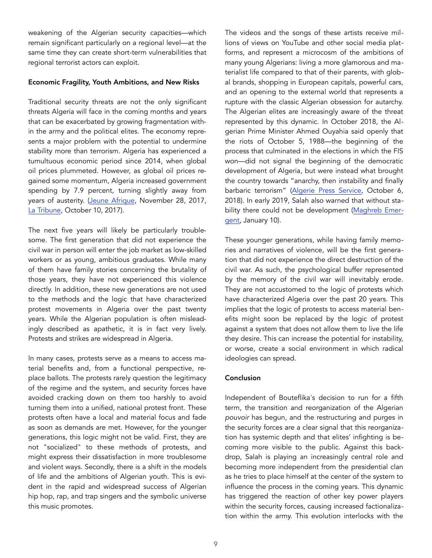weakening of the Algerian security capacities—which remain significant particularly on a regional level—at the same time they can create short-term vulnerabilities that regional terrorist actors can exploit.

#### Economic Fragility, Youth Ambitions, and New Risks

Traditional security threats are not the only significant threats Algeria will face in the coming months and years that can be exacerbated by growing fragmentation within the army and the political elites. The economy represents a major problem with the potential to undermine stability more than terrorism. Algeria has experienced a tumultuous economic period since 2014, when global oil prices plummeted. However, as global oil prices regained some momentum, Algeria increased government spending by 7.9 percent, turning slightly away from years of austerity. ([Jeune Afrique,](https://www.jeuneafrique.com/497369/economie/loi-de-finances-2018-vers-la-fin-de-la-politique-dausterite-en-algerie/) November 28, 2017, [La Tribune](https://afrique.latribune.fr/afrique-du-nord/algerie/), October 10, 2017).

The next five years will likely be particularly troublesome. The first generation that did not experience the civil war in person will enter the job market as low-skilled workers or as young, ambitious graduates. While many of them have family stories concerning the brutality of those years, they have not experienced this violence directly. In addition, these new generations are not used to the methods and the logic that have characterized protest movements in Algeria over the past twenty years. While the Algerian population is often misleadingly described as apathetic, it is in fact very lively. Protests and strikes are widespread in Algeria.

In many cases, protests serve as a means to access material benefits and, from a functional perspective, replace ballots. The protests rarely question the legitimacy of the regime and the system, and security forces have avoided cracking down on them too harshly to avoid turning them into a unified, national protest front. These protests often have a local and material focus and fade as soon as demands are met. However, for the younger generations, this logic might not be valid. First, they are not "socialized" to these methods of protests, and might express their dissatisfaction in more troublesome and violent ways. Secondly, there is a shift in the models of life and the ambitions of Algerian youth. This is evident in the rapid and widespread success of Algerian hip hop, rap, and trap singers and the symbolic universe this music promotes.

The videos and the songs of these artists receive millions of views on YouTube and other social media platforms, and represent a microcosm of the ambitions of many young Algerians: living a more glamorous and materialist life compared to that of their parents, with global brands, shopping in European capitals, powerful cars, and an opening to the external world that represents a rupture with the classic Algerian obsession for autarchy. The Algerian elites are increasingly aware of the threat represented by this dynamic. In October 2018, the Algerian Prime Minister Ahmed Ouyahia said openly that the riots of October 5, 1988—the beginning of the process that culminated in the elections in which the FIS won—did not signal the beginning of the democratic development of Algeria, but were instead what brought the country towards "anarchy, then instability and finally barbaric terrorism" [\(Algerie Press Service](http://www.aps.dz/alger), October 6, 2018). In early 2019, Salah also warned that without stability there could not be development (Maghreb Emergent, January 10).

These younger generations, while having family memories and narratives of violence, will be the first generation that did not experience the direct destruction of the civil war. As such, the psychological buffer represented by the memory of the civil war will inevitably erode. They are not accustomed to the logic of protests which have characterized Algeria over the past 20 years. This implies that the logic of protests to access material benefits might soon be replaced by the logic of protest against a system that does not allow them to live the life they desire. This can increase the potential for instability, or worse, create a social environment in which radical ideologies can spread.

## Conclusion

Independent of Bouteflika's decision to run for a fifth term, the transition and reorganization of the Algerian *pouvoir* has begun, and the restructuring and purges in the security forces are a clear signal that this reorganization has systemic depth and that elites' infighting is becoming more visible to the public. Against this backdrop, Salah is playing an increasingly central role and becoming more independent from the presidential clan as he tries to place himself at the center of the system to influence the process in the coming years. This dynamic has triggered the reaction of other key power players within the security forces, causing increased factionalization within the army. This evolution interlocks with the